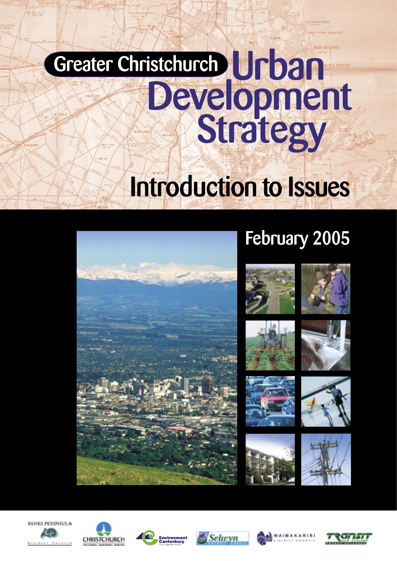# Greater Christchurch Urban<br>Development<br>Strategy Introduction to Issues













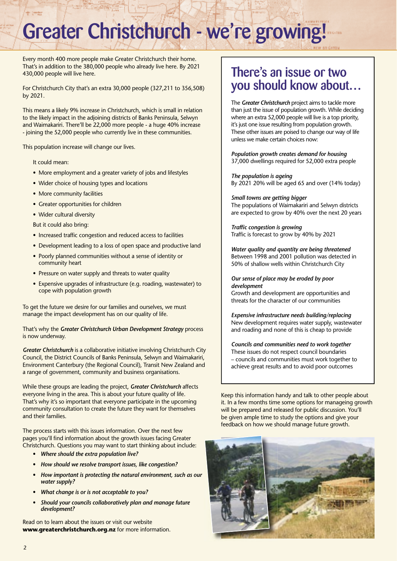## Greater Christchurch - we're growing!

Every month 400 more people make Greater Christchurch their home. That's in addition to the 380,000 people who already live here. By 2021 430,000 people will live here.

For Christchurch City that's an extra 30,000 people (327,211 to 356,508) by 2021.

This means a likely 9% increase in Christchurch, which is small in relation to the likely impact in the adjoining districts of Banks Peninsula, Selwyn and Waimakariri. There'll be 22,000 more people - a huge 40% increase - joining the 52,000 people who currently live in these communities.

This population increase will change our lives.

#### It could mean:

- More employment and a greater variety of jobs and lifestyles
- Wider choice of housing types and locations
- More community facilities
- Greater opportunities for children
- Wider cultural diversity

But it could also bring:

- Increased traffic congestion and reduced access to facilities
- Development leading to a loss of open space and productive land
- Poorly planned communities without a sense of identity or community heart
- Pressure on water supply and threats to water quality
- Expensive upgrades of infrastructure (e.g. roading, wastewater) to cope with population growth

To get the future we desire for our families and ourselves, we must manage the impact development has on our quality of life.

#### That's why the *Greater Christchurch Urban Development Strategy* process is now underway.

*Greater Christchurch* is a collaborative initiative involving Christchurch City Council, the District Councils of Banks Peninsula, Selwyn and Waimakariri, Environment Canterbury (the Regional Council), Transit New Zealand and a range of government, community and business organisations.

While these groups are leading the project, *Greater Christchurch* affects everyone living in the area. This is about your future quality of life. That's why it's so important that everyone participate in the upcoming community consultation to create the future they want for themselves and their families.

The process starts with this issues information. Over the next few pages you'll find information about the growth issues facing Greater Christchurch. Questions you may want to start thinking about include:

- *Where should the extra population live?*
- *How should we resolve transport issues, like congestion?*
- *How important is protecting the natural environment, such as our water supply?*
- *What change is or is not acceptable to you?*
- *Should your councils collaboratively plan and manage future development?*

Read on to learn about the issues or visit our website **www.greaterchristchurch.org.nz** for more information.

#### There's an issue or two you should know about…

The *Greater Christchurch* project aims to tackle more than just the issue of population growth. While deciding where an extra 52,000 people will live is a top priority, it's just one issue resulting from population growth. These other issues are poised to change our way of life unless we make certain choices now:

*Population growth creates demand for housing* 37,000 dwellings required for 52,000 extra people

*The population is ageing* By 2021 20% will be aged 65 and over (14% today)

*Small towns are getting bigger* The populations of Waimakariri and Selwyn districts are expected to grow by 40% over the next 20 years

**Traffic congestion is growing** Traffic is forecast to grow by 40% by 2021

*Water quality and quantity are being threatened* Between 1998 and 2001 pollution was detected in 50% of shallow wells within Christchurch City

*Our sense of place may be eroded by poor development*

Growth and development are opportunities and threats for the character of our communities

*Expensive infrastructure needs building/replacing* New development requires water supply, wastewater and roading and none of this is cheap to provide

*Councils and communities need to work together* These issues do not respect council boundaries – councils and communities must work together to achieve great results and to avoid poor outcomes

Keep this information handy and talk to other people about it. In a few months time some options for manageing growth will be prepared and released for public discussion. You'll be given ample time to study the options and give your feedback on how we should manage future growth.

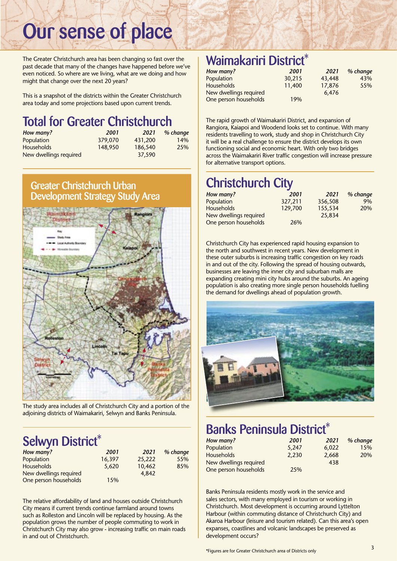## Our sense of place

The Greater Christchurch area has been changing so fast over the past decade that many of the changes have happened before we've even noticed. So where are we living, what are we doing and how might that change over the next 20 years?

This is a snapshot of the districts within the Greater Christchurch area today and some projections based upon current trends.

#### Total for Greater Christchurch

| How many?              | 2001    | 2021    | % change |
|------------------------|---------|---------|----------|
| Population             | 379,070 | 431,200 | 14%      |
| <b>Households</b>      | 148,950 | 186,540 | 25%      |
| New dwellings required |         | 37,590  |          |

#### Greater Christchurch Urban Development Strategy Study Area



The study area includes all of Christchurch City and a portion of the adjoining districts of Waimakariri, Selwyn and Banks Peninsula.

#### Selwyn District\*

| How many?              | 2001   | 2021   | % change |
|------------------------|--------|--------|----------|
| Population             | 16.397 | 25,222 | 55%      |
| <b>Households</b>      | 5,620  | 10,462 | 85%      |
| New dwellings required |        | 4.842  |          |
| One person households  | 15%    |        |          |

The relative affordability of land and houses outside Christchurch City means if current trends continue farmland around towns such as Rolleston and Lincoln will be replaced by housing. As the population grows the number of people commuting to work in Christchurch City may also grow - increasing traffic on main roads in and out of Christchurch.

#### Waimakariri District<sup>\*</sup>

| How many?              | 2001   | 2021   | % change |
|------------------------|--------|--------|----------|
| Population             | 30.215 | 43,448 | 43%      |
| <b>Households</b>      | 11,400 | 17,876 | 55%      |
| New dwellings required |        | 6.476  |          |
| One person households  | 19%    |        |          |

The rapid growth of Waimakariri District, and expansion of Rangiora, Kaiapoi and Woodend looks set to continue. With many residents travelling to work, study and shop in Christchurch City it will be a real challenge to ensure the district develops its own functioning social and economic heart. With only two bridges across the Waimakariri River traffic congestion will increase pressure for alternative transport options.

### Christchurch City

| How many?              | 2001    | 2021    | % change |
|------------------------|---------|---------|----------|
| Population             | 327,211 | 356,508 | 9%       |
| <b>Households</b>      | 129,700 | 155,534 | 20%      |
| New dwellings required |         | 25,834  |          |
| One person households  | 26%     |         |          |

Christchurch City has experienced rapid housing expansion to the north and southwest in recent years. New development in these outer suburbs is increasing traffic congestion on key roads in and out of the city. Following the spread of housing outwards, businesses are leaving the inner city and suburban malls are expanding creating mini city hubs around the suburbs. An ageing population is also creating more single person households fuelling the demand for dwellings ahead of population growth.



### Banks Peninsula District\*

| How many?              | 2001  | 2021  | % change |
|------------------------|-------|-------|----------|
| Population             | 5.247 | 6,022 | 15%      |
| <b>Households</b>      | 2.230 | 2,668 | 20%      |
| New dwellings required |       | 438   |          |
| One person households  | 25%   |       |          |

Banks Peninsula residents mostly work in the service and sales sectors, with many employed in tourism or working in Christchurch. Most development is occurring around Lyttelton Harbour (within commuting distance of Christchurch City) and Akaroa Harbour (leisure and tourism related). Can this area's open expanses, coastlines and volcanic landscapes be preserved as development occurs?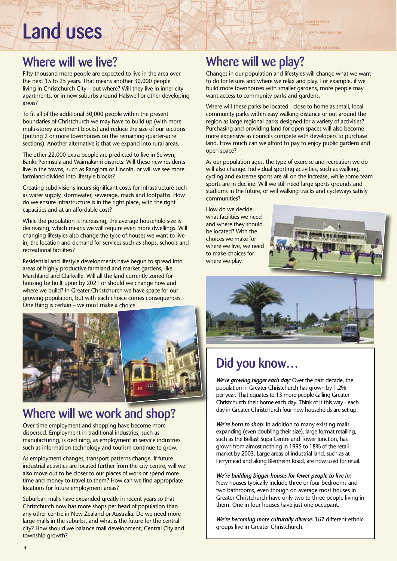## Land uses

#### Where will we live?

Fifty thousand more people are expected to live in the area over the next 15 to 25 years. That means another 30,000 people living in Christchurch City – but where? Will they live in inner city apartments, or in new suburbs around Halswell or other developing areas?

To fit all of the additional 30,000 people within the present boundaries of Christchurch we may have to build up (with more multi-storey apartment blocks) and reduce the size of our sections (putting 2 or more townhouses on the remaining quarter-acre sections). Another alternative is that we expand into rural areas.

The other 22,000 extra people are predicted to live in Selwyn, Banks Peninsula and Waimakariri districts. Will these new residents live in the towns, such as Rangiora or Lincoln, or will we see more farmland divided into lifestyle blocks?

Creating subdivisions incurs significant costs for infrastructure such as water supply, stormwater, sewerage, roads and footpaths. How do we ensure infrastructure is in the right place, with the right capacities and at an affordable cost?

While the population is increasing, the average household size is decreasing, which means we will require even more dwellings. Will changing lifestyles also change the type of houses we want to live in, the location and demand for services such as shops, schools and recreational facilities?

Residential and lifestyle developments have begun to spread into areas of highly productive farmland and market gardens, like Marshland and Clarkville. Will all the land currently zoned for housing be built upon by 2021 or should we change how and where we build? In Greater Christchurch we have space for our growing population, but with each choice comes consequences. One thing is certain – we must make a choice. One thing is certain – we must make a



#### Where will we work and shop? Where will we work and

Over time employment and shopping have become more dispersed. Employment in traditional industries, such as manufacturing, is declining, as employment in service industries such as information technology and tourism continue to grow.

As employment changes, transport patterns change. If future industrial activities are located further from the city centre, will we also move out to be closer to our places of work or spend more time and money to travel to them? How can we find appropriate locations for future employment areas?

Suburban malls have expanded greatly in recent years so that Christchurch now has more shops per head of population than any other centre in New Zealand or Australia. Do we need more large malls in the suburbs, and what is the future for the central city? How should we balance mall development, Central City and township growth?

#### Where will we play?

Changes in our population and lifestyles will change what we want to do for leisure and where we relax and play. For example, if we build more townhouses with smaller gardens, more people may want access to community parks and gardens.

**CARRIEL PASSA ROTTLININ ESSAILS** 

**NEW EDIGITO** 

Where will these parks be located - close to home as small, local community parks within easy walking distance or out around the region as large regional parks designed for a variety of activities? Purchasing and providing land for open spaces will also become more expensive as councils compete with developers to purchase land. How much can we afford to pay to enjoy public gardens and open space?

As our population ages, the type of exercise and recreation we do will also change. Individual sporting activities, such as walking, cycling and extreme sports are all on the increase, while some team sports are in decline. Will we still need large sports grounds and stadiums in the future, or will walking tracks and cycleways satisfy communities?

How do we decide what facilities we need and where they should be located? With the choices we make for where we live, we need to make choices for where we play.





#### Did you know…

*We're growing bigger each day:* Over the past decade, the population in Greater Christchurch has grown by 1.2% per year. That equates to 13 more people calling Greater Christchurch their home each day. Think of it this way - each day in Greater Christchurch four new households are set up.

*We're born to shop:* In addition to many existing malls expanding (even doubling their size), large format retailing, such as the Belfast Supa Centre and Tower Junction, has grown from almost nothing in 1995 to 18% of the retail market by 2003. Large areas of industrial land, such as at Ferrymead and along Blenheim Road, are now used for retail.

*We're building bigger houses for fewer people to live in:*  New houses typically include three or four bedrooms and two bathrooms, even though on average most houses in Greater Christchurch have only two to three people living in them. One in four houses have just one occupant.

*We're becoming more culturally diverse:* 167 different ethnic groups live in Greater Christchurch.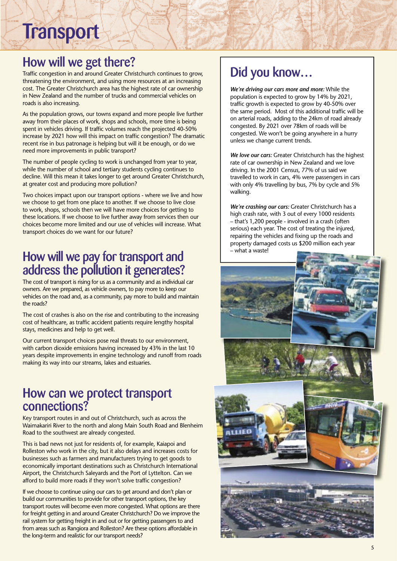**Transport** 

#### How will we get there?

Traffic congestion in and around Greater Christchurch continues to grow, threatening the environment, and using more resources at an increasing cost. The Greater Christchurch area has the highest rate of car ownership in New Zealand and the number of trucks and commercial vehicles on roads is also increasing.

As the population grows, our towns expand and more people live further away from their places of work, shops and schools, more time is being spent in vehicles driving. If traffic volumes reach the projected 40-50% increase by 2021 how will this impact on traffic congestion? The dramatic recent rise in bus patronage is helping but will it be enough, or do we need more improvements in public transport?

The number of people cycling to work is unchanged from year to year, while the number of school and tertiary students cycling continues to decline. Will this mean it takes longer to get around Greater Christchurch, at greater cost and producing more pollution?

Two choices impact upon our transport options - where we live and how we choose to get from one place to another. If we choose to live close to work, shops, schools then we will have more choices for getting to these locations. If we choose to live further away from services then our choices become more limited and our use of vehicles will increase. What transport choices do we want for our future?

#### How will we pay for transport and address the pollution it generates?

The cost of transport is rising for us as a community and as individual car owners. Are we prepared, as vehicle owners, to pay more to keep our vehicles on the road and, as a community, pay more to build and maintain the roads?

The cost of crashes is also on the rise and contributing to the increasing cost of healthcare, as traffic accident patients require lengthy hospital stays, medicines and help to get well.

Our current transport choices pose real threats to our environment, with carbon dioxide emissions having increased by 43% in the last 10 years despite improvements in engine technology and runoff from roads making its way into our streams, lakes and estuaries.

#### How can we protect transport connections?

Key transport routes in and out of Christchurch, such as across the Waimakariri River to the north and along Main South Road and Blenheim Road to the southwest are already congested.

This is bad news not just for residents of, for example, Kaiapoi and Rolleston who work in the city, but it also delays and increases costs for businesses such as farmers and manufacturers trying to get goods to economically important destinations such as Christchurch International Airport, the Christchurch Saleyards and the Port of Lyttelton. Can we afford to build more roads if they won't solve traffic congestion?

If we choose to continue using our cars to get around and don't plan or build our communities to provide for other transport options, the key transport routes will become even more congested. What options are there for freight getting in and around Greater Christchurch? Do we improve the rail system for getting freight in and out or for getting passengers to and from areas such as Rangiora and Rolleston? Are these options affordable in the long-term and realistic for our transport needs?

#### Did you know…

*We're driving our cars more and more:* While the population is expected to grow by 14% by 2021, traffic growth is expected to grow by 40-50% over the same period. Most of this additional traffic will be on arterial roads, adding to the 24km of road already congested. By 2021 over 78km of roads will be congested. We won't be going anywhere in a hurry unless we change current trends.

*We love our cars:* Greater Christchurch has the highest rate of car ownership in New Zealand and we love driving. In the 2001 Census, 77% of us said we travelled to work in cars, 4% were passengers in cars with only 4% travelling by bus, 7% by cycle and 5% walking.

*We're crashing our cars:* Greater Christchurch has a high crash rate, with 3 out of every 1000 residents – that's 1,200 people - involved in a crash (often serious) each year. The cost of treating the injured, repairing the vehicles and fixing up the roads and property damaged costs us \$200 million each year – what a waste!

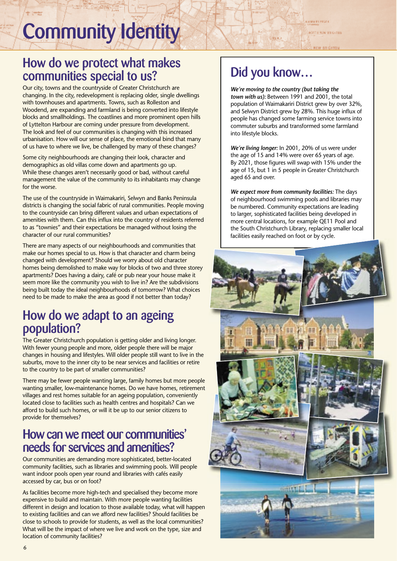## Community Identity

#### How do we protect what makes communities special to us?

Our city, towns and the countryside of Greater Christchurch are changing. In the city, redevelopment is replacing older, single dwellings with townhouses and apartments. Towns, such as Rolleston and Woodend, are expanding and farmland is being converted into lifestyle blocks and smallholdings. The coastlines and more prominent open hills of Lyttelton Harbour are coming under pressure from development. The look and feel of our communities is changing with this increased urbanisation. How will our sense of place, the emotional bind that many of us have to where we live, be challenged by many of these changes?

Some city neighbourhoods are changing their look, character and demographics as old villas come down and apartments go up. While these changes aren't necessarily good or bad, without careful management the value of the community to its inhabitants may change for the worse.

The use of the countryside in Waimakariri, Selwyn and Banks Peninsula districts is changing the social fabric of rural communities. People moving to the countryside can bring different values and urban expectations of amenities with them. Can this influx into the country of residents referred to as "townies" and their expectations be managed without losing the character of our rural communities?

There are many aspects of our neighbourhoods and communities that make our homes special to us. How is that character and charm being changed with development? Should we worry about old character homes being demolished to make way for blocks of two and three storey apartments? Does having a dairy, café or pub near your house make it seem more like the community you wish to live in? Are the subdivisions being built today the ideal neighbourhoods of tomorrow? What choices need to be made to make the area as good if not better than today?

#### How do we adapt to an ageing population?

The Greater Christchurch population is getting older and living longer. With fewer young people and more, older people there will be major changes in housing and lifestyles. Will older people still want to live in the suburbs, move to the inner city to be near services and facilities or retire to the country to be part of smaller communities?

There may be fewer people wanting large, family homes but more people wanting smaller, low-maintenance homes. Do we have homes, retirement villages and rest homes suitable for an ageing population, conveniently located close to facilities such as health centres and hospitals? Can we afford to build such homes, or will it be up to our senior citizens to provide for themselves?

#### How can we meet our communities' needs for services and amenities?

Our communities are demanding more sophisticated, better-located community facilities, such as libraries and swimming pools. Will people want indoor pools open year round and libraries with cafés easily accessed by car, bus or on foot?

As facilities become more high-tech and specialised they become more expensive to build and maintain. With more people wanting facilities different in design and location to those available today, what will happen to existing facilities and can we afford new facilities? Should facilities be close to schools to provide for students, as well as the local communities? What will be the impact of where we live and work on the type, size and location of community facilities?

## Did you know…

Umac)

*We're moving to the country (but taking the town with us):* Between 1991 and 2001, the total population of Waimakariri District grew by over 32%, and Selwyn District grew by 28%. This huge influx of people has changed some farming service towns into commuter suburbs and transformed some farmland into lifestyle blocks.

**CARRIEL PASSA ROTTLININ ESSAILS** 

**REW BOICHTON** 

*We're living longer:* In 2001, 20% of us were under the age of 15 and 14% were over 65 years of age. By 2021, those figures will swap with 15% under the age of 15, but 1 in 5 people in Greater Christchurch aged 65 and over.

*We expect more from community facilities:* The days of neighbourhood swimming pools and libraries may be numbered. Community expectations are leading to larger, sophisticated facilities being developed in more central locations, for example QE11 Pool and the South Christchurch Library, replacing smaller local facilities easily reached on foot or by cycle.

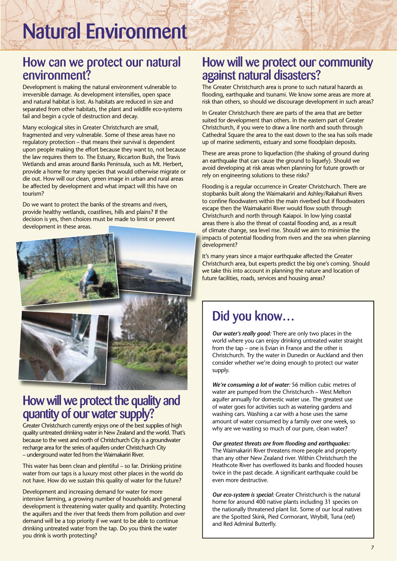## Natural Environment

#### How can we protect our natural environment?

Development is making the natural environment vulnerable to irreversible damage. As development intensifies, open space and natural habitat is lost. As habitats are reduced in size and separated from other habitats, the plant and wildlife eco-systems fail and begin a cycle of destruction and decay.

Many ecological sites in Greater Christchurch are small, fragmented and very vulnerable. Some of these areas have no regulatory protection – that means their survival is dependent upon people making the effort because they want to, not because the law requires them to. The Estuary, Riccarton Bush, the Travis Wetlands and areas around Banks Peninsula, such as Mt. Herbert, provide a home for many species that would otherwise migrate or die out. How will our clean, green image in urban and rural areas be affected by development and what impact will this have on tourism?

Do we want to protect the banks of the streams and rivers, provide healthy wetlands, coastlines, hills and plains? If the decision is yes, then choices must be made to limit or prevent development in these areas.



#### How will we protect the quality and quantity of our water supply?

Greater Christchurch currently enjoys one of the best supplies of high quality untreated drinking water in New Zealand and the world. That's because to the west and north of Christchurch City is a groundwater recharge area for the series of aquifers under Christchurch City – underground water fed from the Waimakariri River.

This water has been clean and plentiful – so far. Drinking pristine water from our taps is a luxury most other places in the world do not have. How do we sustain this quality of water for the future?

Development and increasing demand for water for more intensive farming, a growing number of households and general development is threatening water quality and quantity. Protecting the aquifers and the river that feeds them from pollution and over demand will be a top priority if we want to be able to continue drinking untreated water from the tap. Do you think the water you drink is worth protecting?

#### How will we protect our community against natural disasters?

The Greater Christchurch area is prone to such natural hazards as flooding, earthquake and tsunami. We know some areas are more at risk than others, so should we discourage development in such areas?

In Greater Christchurch there are parts of the area that are better suited for development than others. In the eastern part of Greater Christchurch, if you were to draw a line north and south through Cathedral Square the area to the east down to the sea has soils made up of marine sediments, estuary and some floodplain deposits.

These are areas prone to liquefaction (the shaking of ground during an earthquake that can cause the ground to liquefy). Should we avoid developing at risk areas when planning for future growth or rely on engineering solutions to these risks?

Flooding is a regular occurrence in Greater Christchurch. There are stopbanks built along the Waimakariri and Ashley/Rakahuri Rivers to confine floodwaters within the main riverbed but if floodwaters escape then the Waimakariri River would flow south through Christchurch and north through Kaiapoi. In low lying coastal areas there is also the threat of coastal flooding and, as a result of climate change, sea level rise. Should we aim to minimise the of climate change, sea level rise. Should we aim to minimise the impacts of potential flooding from rivers and the sea when planning development?

It's many years since a major earthquake affected the Greater It's many years since a major earthquake affected the Greater Christchurch area, but experts predict the big one's coming. Should Christchurch area, but experts predict the big one's coming. Should we take this into account in planning the nature and location of we take this into account in planning the nature and location of future facilities, roads, services and housing areas? future facilities, roads, services and housing

#### Did you know…

*Our water's really good:* There are only two places in the world where you can enjoy drinking untreated water straight from the tap – one is Evian in France and the other is Christchurch. Try the water in Dunedin or Auckland and then consider whether we're doing enough to protect our water supply.

*We're consuming a lot of water:* 56 million cubic metres of water are pumped from the Christchurch – West Melton aquifer annually for domestic water use. The greatest use of water goes for activities such as watering gardens and washing cars. Washing a car with a hose uses the same amount of water consumed by a family over one week, so why are we wasting so much of our pure, clean water?

*Our greatest threats are from flooding and earthquakes:* The Waimakariri River threatens more people and property than any other New Zealand river. Within Christchurch the Heathcote River has overflowed its banks and flooded houses twice in the past decade. A significant earthquake could be even more destructive.

*Our eco-system is special:* Greater Christchurch is the natural home for around 400 native plants including 31 species on the nationally threatened plant list. Some of our local natives are the Spotted Skink, Pied Cormorant, Wrybill, Tuna (eel) and Red Admiral Butterfly.